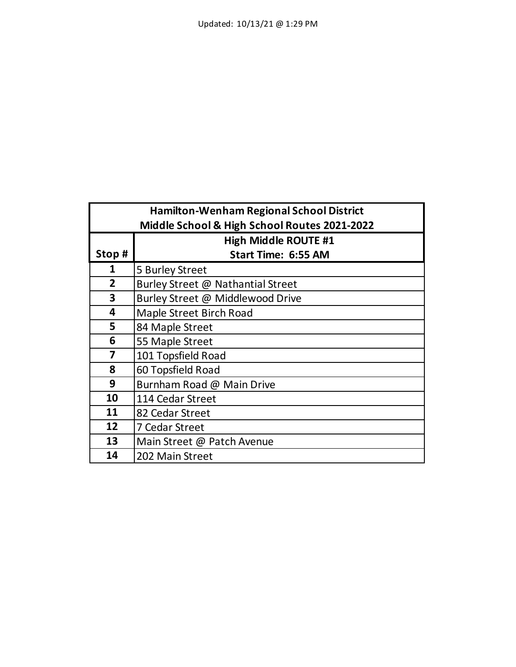| <b>Hamilton-Wenham Regional School District</b> |                                              |  |
|-------------------------------------------------|----------------------------------------------|--|
|                                                 | Middle School & High School Routes 2021-2022 |  |
|                                                 | <b>High Middle ROUTE #1</b>                  |  |
| Stop#                                           | <b>Start Time: 6:55 AM</b>                   |  |
| 1                                               | 5 Burley Street                              |  |
| $\overline{2}$                                  | Burley Street @ Nathantial Street            |  |
| 3                                               | Burley Street @ Middlewood Drive             |  |
| 4                                               | Maple Street Birch Road                      |  |
| 5                                               | 84 Maple Street                              |  |
| 6                                               | 55 Maple Street                              |  |
| 7                                               | 101 Topsfield Road                           |  |
| 8                                               | 60 Topsfield Road                            |  |
| 9                                               | Burnham Road @ Main Drive                    |  |
| 10                                              | 114 Cedar Street                             |  |
| 11                                              | 82 Cedar Street                              |  |
| 12                                              | 7 Cedar Street                               |  |
| 13                                              | Main Street @ Patch Avenue                   |  |
| 14                                              | 202 Main Street                              |  |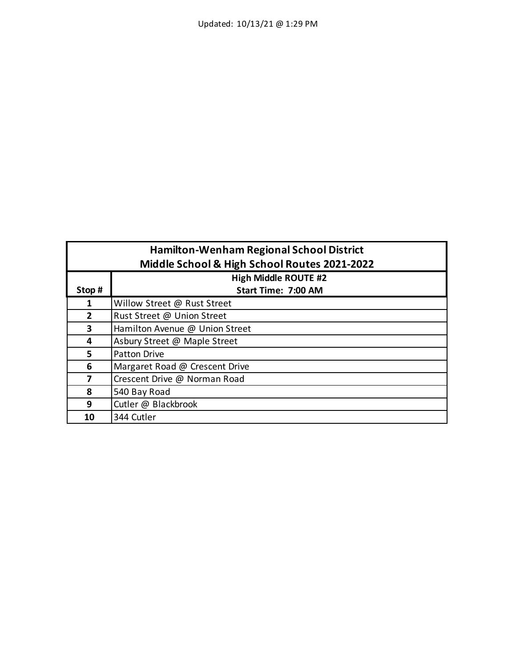| <b>Hamilton-Wenham Regional School District</b> |                                              |  |
|-------------------------------------------------|----------------------------------------------|--|
|                                                 | Middle School & High School Routes 2021-2022 |  |
|                                                 | <b>High Middle ROUTE #2</b>                  |  |
| Stop#                                           | Start Time: 7:00 AM                          |  |
| 1                                               | Willow Street @ Rust Street                  |  |
| $\overline{2}$                                  | Rust Street @ Union Street                   |  |
| 3                                               | Hamilton Avenue @ Union Street               |  |
| 4                                               | Asbury Street @ Maple Street                 |  |
| 5                                               | <b>Patton Drive</b>                          |  |
| 6                                               | Margaret Road @ Crescent Drive               |  |
| 7                                               | Crescent Drive @ Norman Road                 |  |
| 8                                               | 540 Bay Road                                 |  |
| 9                                               | Cutler @ Blackbrook                          |  |
| 10                                              | 344 Cutler                                   |  |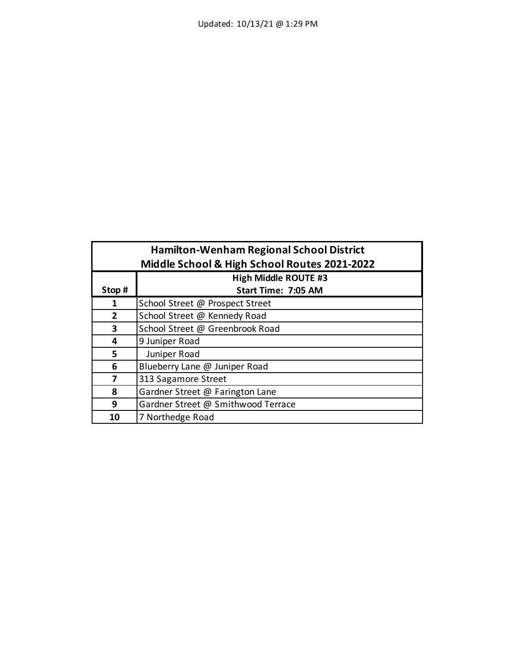| <b>Hamilton-Wenham Regional School District</b><br>Middle School & High School Routes 2021-2022 |                                    |
|-------------------------------------------------------------------------------------------------|------------------------------------|
|                                                                                                 | <b>High Middle ROUTE #3</b>        |
| Stop#                                                                                           | Start Time: 7:05 AM                |
|                                                                                                 | School Street @ Prospect Street    |
| $\overline{2}$                                                                                  | School Street @ Kennedy Road       |
| 3                                                                                               | School Street @ Greenbrook Road    |
| 4                                                                                               | 9 Juniper Road                     |
| 5                                                                                               | Juniper Road                       |
| 6                                                                                               | Blueberry Lane @ Juniper Road      |
| 7                                                                                               | 313 Sagamore Street                |
| 8                                                                                               | Gardner Street @ Farington Lane    |
| 9                                                                                               | Gardner Street @ Smithwood Terrace |
| 10                                                                                              | 7 Northedge Road                   |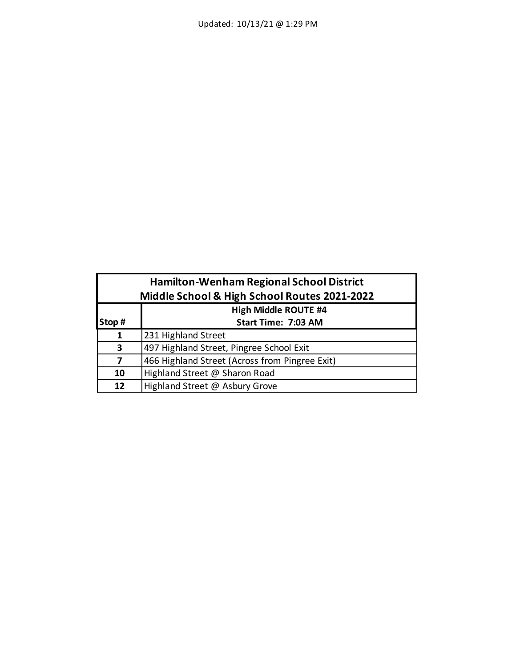| <b>Hamilton-Wenham Regional School District</b><br>Middle School & High School Routes 2021-2022 |                                                |  |
|-------------------------------------------------------------------------------------------------|------------------------------------------------|--|
|                                                                                                 | <b>High Middle ROUTE #4</b>                    |  |
| Stop#                                                                                           | Start Time: 7:03 AM                            |  |
| 1                                                                                               | 231 Highland Street                            |  |
| 3                                                                                               | 497 Highland Street, Pingree School Exit       |  |
| 7                                                                                               | 466 Highland Street (Across from Pingree Exit) |  |
| 10                                                                                              | Highland Street @ Sharon Road                  |  |
| 12 <sub>2</sub>                                                                                 | Highland Street @ Asbury Grove                 |  |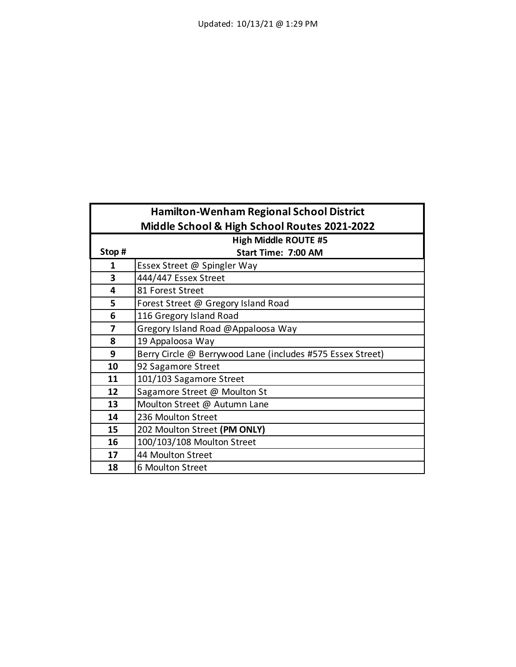|                                              | <b>Hamilton-Wenham Regional School District</b>            |  |
|----------------------------------------------|------------------------------------------------------------|--|
| Middle School & High School Routes 2021-2022 |                                                            |  |
|                                              | <b>High Middle ROUTE #5</b>                                |  |
| Stop#                                        | Start Time: 7:00 AM                                        |  |
| 1                                            | Essex Street @ Spingler Way                                |  |
| 3                                            | 444/447 Essex Street                                       |  |
| 4                                            | 81 Forest Street                                           |  |
| 5                                            | Forest Street @ Gregory Island Road                        |  |
| 6                                            | 116 Gregory Island Road                                    |  |
| 7                                            | Gregory Island Road @Appaloosa Way                         |  |
| 8                                            | 19 Appaloosa Way                                           |  |
| 9                                            | Berry Circle @ Berrywood Lane (includes #575 Essex Street) |  |
| 10                                           | 92 Sagamore Street                                         |  |
| 11                                           | 101/103 Sagamore Street                                    |  |
| 12                                           | Sagamore Street @ Moulton St                               |  |
| 13                                           | Moulton Street @ Autumn Lane                               |  |
| 14                                           | 236 Moulton Street                                         |  |
| 15                                           | 202 Moulton Street (PM ONLY)                               |  |
| 16                                           | 100/103/108 Moulton Street                                 |  |
| 17                                           | 44 Moulton Street                                          |  |
| 18                                           | 6 Moulton Street                                           |  |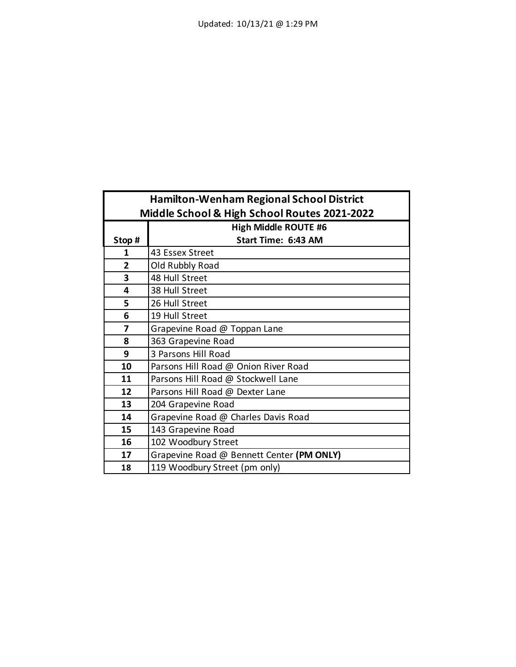| <b>Hamilton-Wenham Regional School District</b> |                                           |
|-------------------------------------------------|-------------------------------------------|
| Middle School & High School Routes 2021-2022    |                                           |
|                                                 | <b>High Middle ROUTE #6</b>               |
| Stop#                                           | Start Time: 6:43 AM                       |
| 1                                               | 43 Essex Street                           |
| $\overline{2}$                                  | Old Rubbly Road                           |
| 3                                               | 48 Hull Street                            |
| 4                                               | 38 Hull Street                            |
| 5                                               | 26 Hull Street                            |
| 6                                               | 19 Hull Street                            |
| 7                                               | Grapevine Road @ Toppan Lane              |
| 8                                               | 363 Grapevine Road                        |
| 9                                               | 3 Parsons Hill Road                       |
| 10                                              | Parsons Hill Road @ Onion River Road      |
| 11                                              | Parsons Hill Road @ Stockwell Lane        |
| 12                                              | Parsons Hill Road @ Dexter Lane           |
| 13                                              | 204 Grapevine Road                        |
| 14                                              | Grapevine Road @ Charles Davis Road       |
| 15                                              | 143 Grapevine Road                        |
| 16                                              | 102 Woodbury Street                       |
| 17                                              | Grapevine Road @ Bennett Center (PM ONLY) |
| 18                                              | 119 Woodbury Street (pm only)             |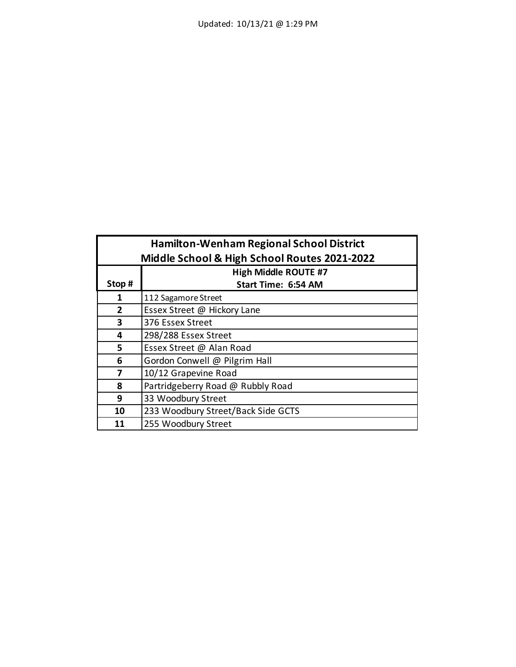| <b>Hamilton-Wenham Regional School District</b> |                                              |  |
|-------------------------------------------------|----------------------------------------------|--|
|                                                 | Middle School & High School Routes 2021-2022 |  |
|                                                 | <b>High Middle ROUTE #7</b>                  |  |
| Stop#                                           | Start Time: 6:54 AM                          |  |
| 1                                               | 112 Sagamore Street                          |  |
| $\overline{2}$                                  | Essex Street @ Hickory Lane                  |  |
| 3                                               | 376 Essex Street                             |  |
| 4                                               | 298/288 Essex Street                         |  |
| 5                                               | Essex Street @ Alan Road                     |  |
| 6                                               | Gordon Conwell @ Pilgrim Hall                |  |
| 7                                               | 10/12 Grapevine Road                         |  |
| 8                                               | Partridgeberry Road @ Rubbly Road            |  |
| 9                                               | 33 Woodbury Street                           |  |
| 10                                              | 233 Woodbury Street/Back Side GCTS           |  |
| 11                                              | 255 Woodbury Street                          |  |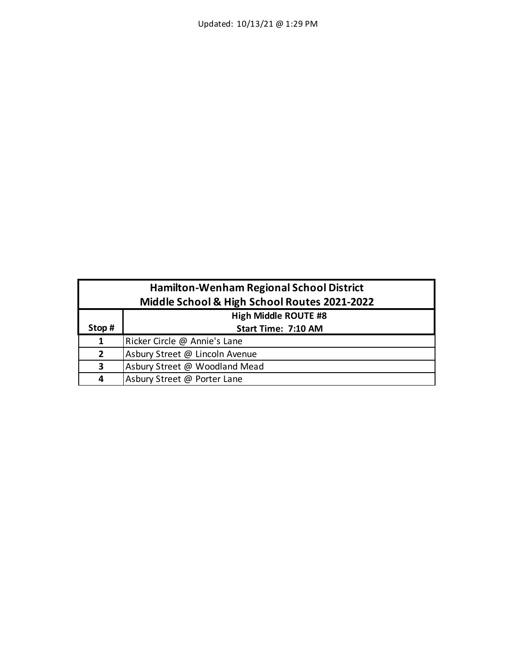| <b>Hamilton-Wenham Regional School District</b> |                                |
|-------------------------------------------------|--------------------------------|
| Middle School & High School Routes 2021-2022    |                                |
|                                                 | <b>High Middle ROUTE #8</b>    |
| Stop#                                           | Start Time: 7:10 AM            |
| 1                                               | Ricker Circle @ Annie's Lane   |
| $\overline{2}$                                  | Asbury Street @ Lincoln Avenue |
| 3                                               | Asbury Street @ Woodland Mead  |
| 4                                               | Asbury Street @ Porter Lane    |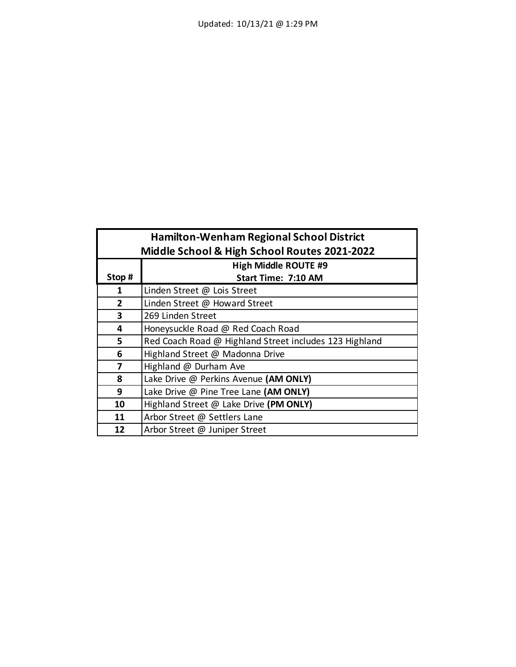| <b>Hamilton-Wenham Regional School District</b><br>Middle School & High School Routes 2021-2022 |                                                        |
|-------------------------------------------------------------------------------------------------|--------------------------------------------------------|
|                                                                                                 | <b>High Middle ROUTE #9</b>                            |
| Stop#                                                                                           | Start Time: 7:10 AM                                    |
| 1                                                                                               | Linden Street @ Lois Street                            |
| $\overline{2}$                                                                                  | Linden Street @ Howard Street                          |
| 3                                                                                               | 269 Linden Street                                      |
| 4                                                                                               | Honeysuckle Road @ Red Coach Road                      |
| 5                                                                                               | Red Coach Road @ Highland Street includes 123 Highland |
| 6                                                                                               | Highland Street @ Madonna Drive                        |
| 7                                                                                               | Highland @ Durham Ave                                  |
| 8                                                                                               | Lake Drive @ Perkins Avenue (AM ONLY)                  |
| 9                                                                                               | Lake Drive @ Pine Tree Lane (AM ONLY)                  |
| 10                                                                                              | Highland Street @ Lake Drive (PM ONLY)                 |
| 11                                                                                              | Arbor Street @ Settlers Lane                           |
| 12                                                                                              | Arbor Street @ Juniper Street                          |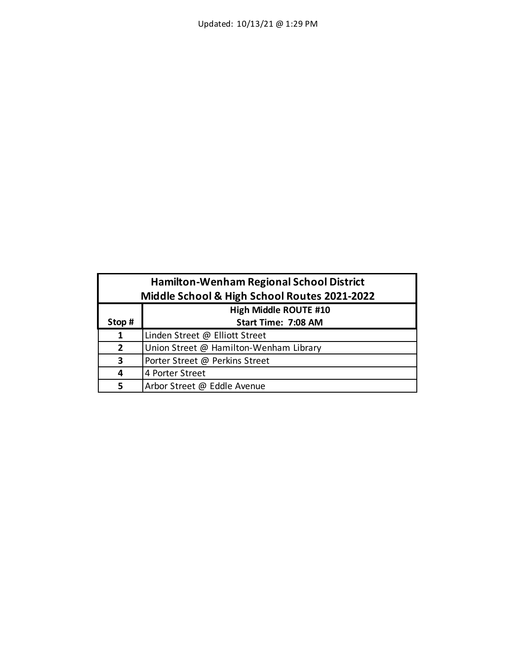| <b>Hamilton-Wenham Regional School District</b><br>Middle School & High School Routes 2021-2022 |                                        |
|-------------------------------------------------------------------------------------------------|----------------------------------------|
|                                                                                                 | <b>High Middle ROUTE #10</b>           |
| Stop#                                                                                           | <b>Start Time: 7:08 AM</b>             |
| 1                                                                                               | Linden Street @ Elliott Street         |
| $\overline{2}$                                                                                  | Union Street @ Hamilton-Wenham Library |
| 3                                                                                               | Porter Street @ Perkins Street         |
| 4                                                                                               | 4 Porter Street                        |
| 5                                                                                               | Arbor Street @ Eddle Avenue            |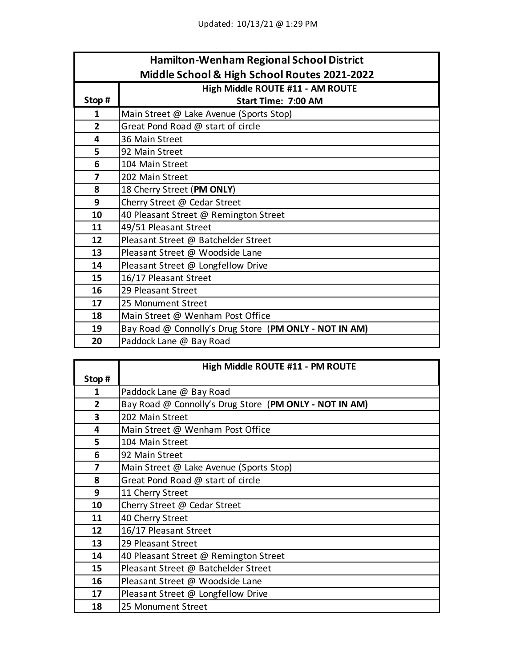| <b>Hamilton-Wenham Regional School District</b> |                                                        |  |
|-------------------------------------------------|--------------------------------------------------------|--|
|                                                 | Middle School & High School Routes 2021-2022           |  |
|                                                 | High Middle ROUTE #11 - AM ROUTE                       |  |
| Stop#                                           | Start Time: 7:00 AM                                    |  |
| 1                                               | Main Street @ Lake Avenue (Sports Stop)                |  |
| $\overline{2}$                                  | Great Pond Road @ start of circle                      |  |
| 4                                               | 36 Main Street                                         |  |
| 5                                               | 92 Main Street                                         |  |
| 6                                               | 104 Main Street                                        |  |
| 7                                               | 202 Main Street                                        |  |
| 8                                               | 18 Cherry Street (PM ONLY)                             |  |
| 9                                               | Cherry Street @ Cedar Street                           |  |
| 10                                              | 40 Pleasant Street @ Remington Street                  |  |
| 11                                              | 49/51 Pleasant Street                                  |  |
| 12                                              | Pleasant Street @ Batchelder Street                    |  |
| 13                                              | Pleasant Street @ Woodside Lane                        |  |
| 14                                              | Pleasant Street @ Longfellow Drive                     |  |
| 15                                              | 16/17 Pleasant Street                                  |  |
| 16                                              | 29 Pleasant Street                                     |  |
| 17                                              | 25 Monument Street                                     |  |
| 18                                              | Main Street @ Wenham Post Office                       |  |
| 19                                              | Bay Road @ Connolly's Drug Store (PM ONLY - NOT IN AM) |  |
| 20                                              | Paddock Lane @ Bay Road                                |  |

|                         | High Middle ROUTE #11 - PM ROUTE                       |
|-------------------------|--------------------------------------------------------|
| Stop#                   |                                                        |
| 1                       | Paddock Lane @ Bay Road                                |
| $\mathbf{2}$            | Bay Road @ Connolly's Drug Store (PM ONLY - NOT IN AM) |
| $\overline{\mathbf{3}}$ | 202 Main Street                                        |
| 4                       | Main Street @ Wenham Post Office                       |
| 5                       | 104 Main Street                                        |
| 6                       | 92 Main Street                                         |
| 7                       | Main Street @ Lake Avenue (Sports Stop)                |
| 8                       | Great Pond Road @ start of circle                      |
| 9                       | 11 Cherry Street                                       |
| 10                      | Cherry Street @ Cedar Street                           |
| 11                      | 40 Cherry Street                                       |
| 12                      | 16/17 Pleasant Street                                  |
| 13                      | 29 Pleasant Street                                     |
| 14                      | 40 Pleasant Street @ Remington Street                  |
| 15                      | Pleasant Street @ Batchelder Street                    |
| 16                      | Pleasant Street @ Woodside Lane                        |
| 17                      | Pleasant Street @ Longfellow Drive                     |
| 18                      | 25 Monument Street                                     |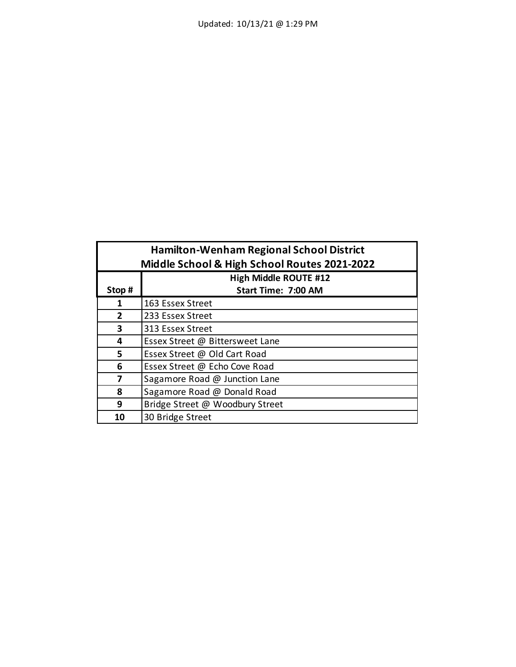| <b>Hamilton-Wenham Regional School District</b><br>Middle School & High School Routes 2021-2022 |                                 |  |
|-------------------------------------------------------------------------------------------------|---------------------------------|--|
|                                                                                                 | <b>High Middle ROUTE #12</b>    |  |
| Stop#                                                                                           | <b>Start Time: 7:00 AM</b>      |  |
| 1                                                                                               | 163 Essex Street                |  |
| $\overline{2}$                                                                                  | 233 Essex Street                |  |
| 3                                                                                               | 313 Essex Street                |  |
| 4                                                                                               | Essex Street @ Bittersweet Lane |  |
| 5                                                                                               | Essex Street @ Old Cart Road    |  |
| 6                                                                                               | Essex Street @ Echo Cove Road   |  |
| 7                                                                                               | Sagamore Road @ Junction Lane   |  |
| 8                                                                                               | Sagamore Road @ Donald Road     |  |
| 9                                                                                               | Bridge Street @ Woodbury Street |  |
| 10                                                                                              | 30 Bridge Street                |  |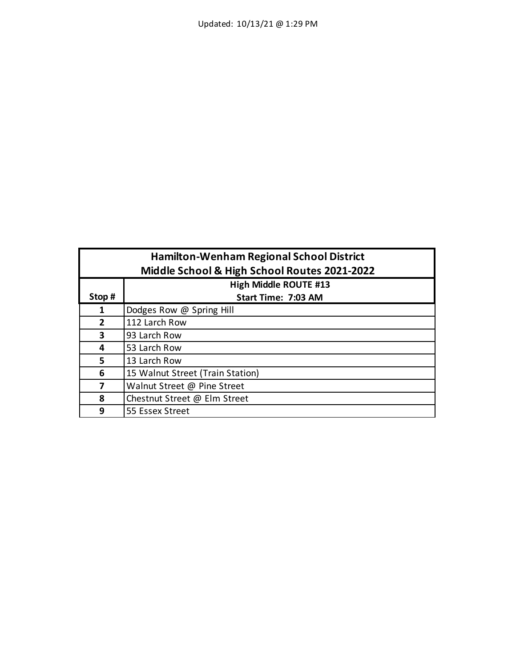| <b>Hamilton-Wenham Regional School District</b> |                                  |  |
|-------------------------------------------------|----------------------------------|--|
| Middle School & High School Routes 2021-2022    |                                  |  |
|                                                 | <b>High Middle ROUTE #13</b>     |  |
| Stop#                                           | Start Time: 7:03 AM              |  |
| 1                                               | Dodges Row @ Spring Hill         |  |
| $\overline{2}$                                  | 112 Larch Row                    |  |
| 3                                               | 93 Larch Row                     |  |
| 4                                               | 53 Larch Row                     |  |
| 5                                               | 13 Larch Row                     |  |
| 6                                               | 15 Walnut Street (Train Station) |  |
| 7                                               | Walnut Street @ Pine Street      |  |
| 8                                               | Chestnut Street @ Elm Street     |  |
| 9                                               | 55 Essex Street                  |  |